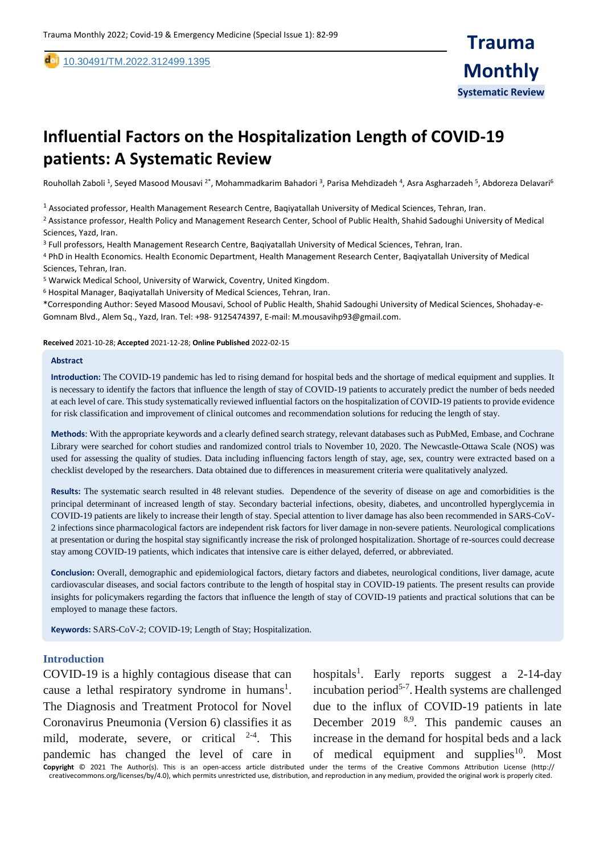de [10](https://dx.doi.org/10.30491/tm.2021.264991.1218).30491/TM.2022.312499.1395

# **Influential Factors on the Hospitalization Length of COVID-19 patients: A Systematic Review**

Rouhollah Zaboli <sup>1</sup>, Seyed Masood Mousavi <sup>2\*</sup>, Mohammadkarim Bahadori <sup>3</sup>, Parisa Mehdizadeh <sup>4</sup>, Asra Asgharzadeh <sup>5</sup>, Abdoreza Delavari<sup>6</sup>

 $^1$  Associated professor, Health Management Research Centre, Baqiyatallah University of Medical Sciences, Tehran, Iran.

<sup>2</sup> Assistance professor, Health Policy and Management Research Center, School of Public Health, Shahid Sadoughi University of Medical Sciences, Yazd, Iran.

<sup>3</sup> Full professors, Health Management Research Centre, Baqiyatallah University of Medical Sciences, Tehran, Iran.

PhD in Health Economics. Health Economic Department, Health Management Research Center, Baqiyatallah University of Medical <sup>4</sup> Sciences, Tehran, Iran.

<sup>5</sup> Warwick Medical School, University of Warwick, Coventry, United Kingdom.

<sup>6</sup> Hospital Manager, Baqiyatallah University of Medical Sciences, Tehran, Iran.

\*Corresponding Author: Seyed Masood Mousavi, School of Public Health, Shahid Sadoughi University of Medical Sciences, Shohaday-e-Gomnam Blvd., Alem Sq., Yazd, Iran. Tel: +98- 9125474397, E-mail[: M.mousavihp93@gmail.com.](mailto:M.mousavihp93@gmail.com)

**Received** 2021-10-28; **Accepted** 2021-12-28; **Online Published** 2022-02-15

#### **Abstract**

,

**Introduction:** The COVID-19 pandemic has led to rising demand for hospital beds and the shortage of medical equipment and supplies. It is necessary to identify the factors that influence the length of stay of COVID-19 patients to accurately predict the number of beds needed at each level of care. This study systematically reviewed influential factors on the hospitalization of COVID-19 patients to provide evidence for risk classification and improvement of clinical outcomes and recommendation solutions for reducing the length of stay.

**Methods**: With the appropriate keywords and a clearly defined search strategy, relevant databases such as PubMed, Embase, and Cochrane Library were searched for cohort studies and randomized control trials to November 10, 2020. The Newcastle-Ottawa Scale (NOS) was used for assessing the quality of studies. Data including influencing factors length of stay, age, sex, country were extracted based on a checklist developed by the researchers. Data obtained due to differences in measurement criteria were qualitatively analyzed.

**Results:** The systematic search resulted in 48 relevant studies. Dependence of the severity of disease on age and comorbidities is the principal determinant of increased length of stay. Secondary bacterial infections, obesity, diabetes, and uncontrolled hyperglycemia in COVID-19 patients are likely to increase their length of stay. Special attention to liver damage has also been recommended in SARS-CoV-2 infections since pharmacological factors are independent risk factors for liver damage in non-severe patients. Neurological complications at presentation or during the hospital stay significantly increase the risk of prolonged hospitalization. Shortage of re-sources could decrease stay among COVID-19 patients, which indicates that intensive care is either delayed, deferred, or abbreviated.

**Conclusion:** Overall, demographic and epidemiological factors, dietary factors and diabetes, neurological conditions, liver damage, acute cardiovascular diseases, and social factors contribute to the length of hospital stay in COVID-19 patients. The present results can provide insights for policymakers regarding the factors that influence the length of stay of COVID-19 patients and practical solutions that can be employed to manage these factors.

**Keywords:** SARS-CoV-2; COVID-19; Length of Stay; Hospitalization.

#### **Introduction**

COVID-19 is a highly contagious disease that can cause a lethal respiratory syndrome in humans<sup>1</sup>. The Diagnosis and Treatment Protocol for Novel Coronavirus Pneumonia (Version 6) classifies it as mild, moderate, severe, or critical  $2-4$ . This pandemic has changed the level of care in

hospitals<sup>1</sup>. Early reports suggest a 2-14-day incubation period<sup>5-7</sup>. Health systems are challenged due to the influx of COVID-19 patients in late December 2019 <sup>8,9</sup>. This pandemic causes an increase in the demand for hospital beds and a lack of medical equipment and supplies<sup>10</sup>. Most

**Copyright** © 2021 The Author(s). This is an open-access article distributed under the terms of the Creative Commons Attribution License (http:// creativecommons.org/licenses/by/4.0), which permits unrestricted use, distribution, and reproduction in any medium, provided the original work is properly cited.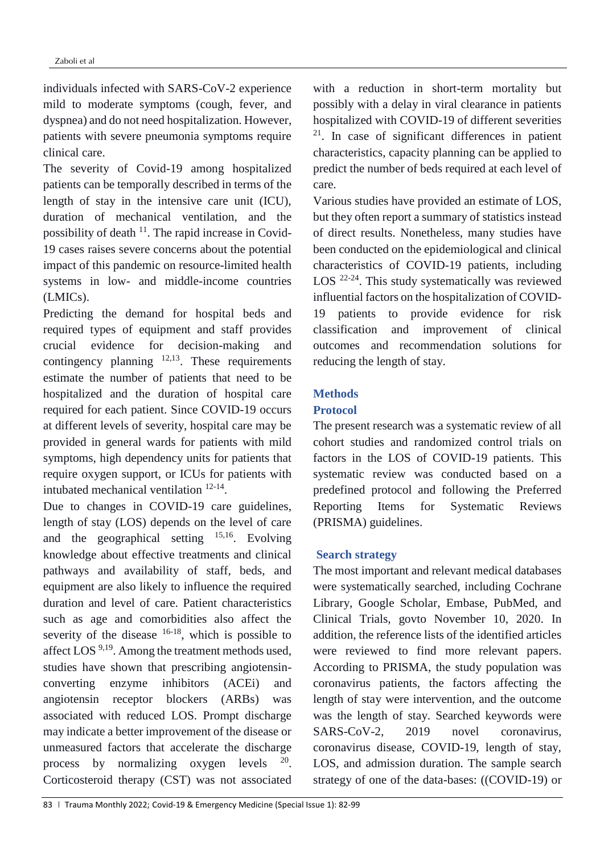individuals infected with SARS-CoV-2 experience mild to moderate symptoms (cough, fever, and dyspnea) and do not need hospitalization. However, patients with severe pneumonia symptoms require clinical care.

The severity of Covid-19 among hospitalized patients can be temporally described in terms of the length of stay in the intensive care unit (ICU), duration of mechanical ventilation, and the possibility of death  $11$ . The rapid increase in Covid-19 cases raises severe concerns about the potential impact of this pandemic on resource-limited health systems in low- and middle-income countries (LMICs).

Predicting the demand for hospital beds and required types of equipment and staff provides crucial evidence for decision-making and contingency planning  $12,13$ . These requirements estimate the number of patients that need to be hospitalized and the duration of hospital care required for each patient. Since COVID-19 occurs at different levels of severity, hospital care may be provided in general wards for patients with mild symptoms, high dependency units for patients that require oxygen support, or ICUs for patients with intubated mechanical ventilation 12-14 .

Due to changes in COVID-19 care guidelines, length of stay (LOS) depends on the level of care and the geographical setting <sup>15,16</sup>. Evolving knowledge about effective treatments and clinical pathways and availability of staff, beds, and equipment are also likely to influence the required duration and level of care. Patient characteristics such as age and comorbidities also affect the severity of the disease  $16-18$ , which is possible to affect LOS 9,19. Among the treatment methods used, studies have shown that prescribing angiotensinconverting enzyme inhibitors (ACEi) and angiotensin receptor blockers (ARBs) was associated with reduced LOS. Prompt discharge may indicate a better improvement of the disease or unmeasured factors that accelerate the discharge process by normalizing oxygen levels . Corticosteroid therapy (CST) was not associated

with a reduction in short-term mortality but possibly with a delay in viral clearance in patients hospitalized with COVID-19 of different severities  $21$ . In case of significant differences in patient characteristics, capacity planning can be applied to predict the number of beds required at each level of care.

Various studies have provided an estimate of LOS, but they often report a summary of statistics instead of direct results. Nonetheless, many studies have been conducted on the epidemiological and clinical characteristics of COVID-19 patients, including LOS<sup>22-24</sup>. This study systematically was reviewed influential factors on the hospitalization of COVID-19 patients to provide evidence for risk classification and improvement of clinical outcomes and recommendation solutions for reducing the length of stay.

## **Methods**

## **Protocol**

The present research was a systematic review of all cohort studies and randomized control trials on factors in the LOS of COVID-19 patients. This systematic review was conducted based on a predefined protocol and following the Preferred Reporting Items for Systematic Reviews (PRISMA) guidelines.

## **Search strategy**

The most important and relevant medical databases were systematically searched, including Cochrane Library, Google Scholar, Embase, PubMed, and Clinical Trials, govto November 10, 2020. In addition, the reference lists of the identified articles were reviewed to find more relevant papers. According to PRISMA, the study population was coronavirus patients, the factors affecting the length of stay were intervention, and the outcome was the length of stay. Searched keywords were SARS-CoV-2, 2019 novel coronavirus, coronavirus disease, COVID-19, length of stay, LOS, and admission duration. The sample search strategy of one of the data-bases: ((COVID-19) or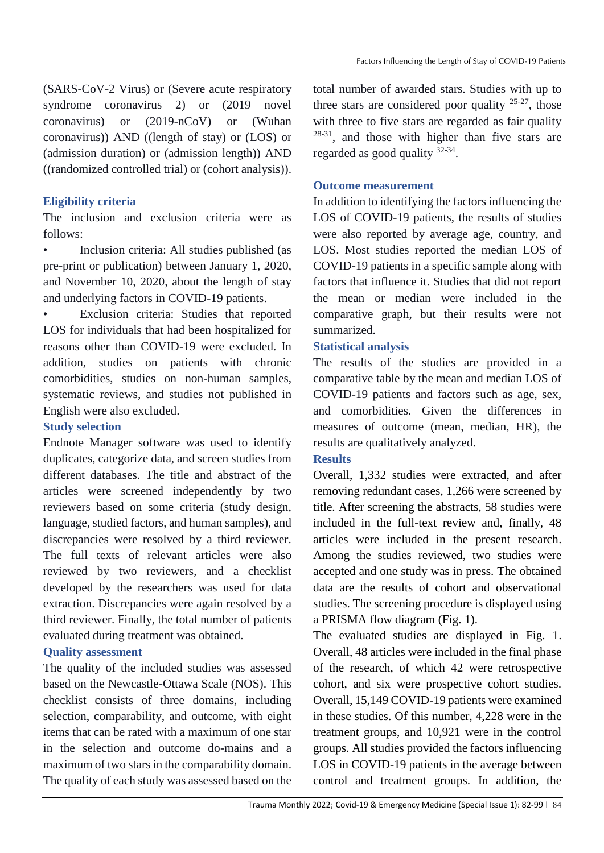(SARS-CoV-2 Virus) or (Severe acute respiratory syndrome coronavirus 2) or (2019 novel coronavirus) or (2019-nCoV) or (Wuhan coronavirus)) AND ((length of stay) or (LOS) or (admission duration) or (admission length)) AND ((randomized controlled trial) or (cohort analysis)).

# **Eligibility criteria**

The inclusion and exclusion criteria were as follows:

• Inclusion criteria: All studies published (as pre-print or publication) between January 1, 2020, and November 10, 2020, about the length of stay and underlying factors in COVID-19 patients.

• Exclusion criteria: Studies that reported LOS for individuals that had been hospitalized for reasons other than COVID-19 were excluded. In addition, studies on patients with chronic comorbidities, studies on non-human samples, systematic reviews, and studies not published in English were also excluded.

## **Study selection**

Endnote Manager software was used to identify duplicates, categorize data, and screen studies from different databases. The title and abstract of the articles were screened independently by two reviewers based on some criteria (study design, language, studied factors, and human samples), and discrepancies were resolved by a third reviewer. The full texts of relevant articles were also reviewed by two reviewers, and a checklist developed by the researchers was used for data extraction. Discrepancies were again resolved by a third reviewer. Finally, the total number of patients evaluated during treatment was obtained.

## **Quality assessment**

The quality of the included studies was assessed based on the Newcastle-Ottawa Scale (NOS). This checklist consists of three domains, including selection, comparability, and outcome, with eight items that can be rated with a maximum of one star in the selection and outcome do-mains and a maximum of two stars in the comparability domain. The quality of each study was assessed based on the

total number of awarded stars. Studies with up to three stars are considered poor quality  $25-27$ , those with three to five stars are regarded as fair quality <sup>28-31</sup>, and those with higher than five stars are regarded as good quality <sup>32-34</sup>.

## **Outcome measurement**

In addition to identifying the factors influencing the LOS of COVID-19 patients, the results of studies were also reported by average age, country, and LOS. Most studies reported the median LOS of COVID-19 patients in a specific sample along with factors that influence it. Studies that did not report the mean or median were included in the comparative graph, but their results were not summarized.

## **Statistical analysis**

The results of the studies are provided in a comparative table by the mean and median LOS of COVID-19 patients and factors such as age, sex, and comorbidities. Given the differences in measures of outcome (mean, median, HR), the results are qualitatively analyzed.

# **Results**

Overall, 1,332 studies were extracted, and after removing redundant cases, 1,266 were screened by title. After screening the abstracts, 58 studies were included in the full-text review and, finally, 48 articles were included in the present research. Among the studies reviewed, two studies were accepted and one study was in press. The obtained data are the results of cohort and observational studies. The screening procedure is displayed using a PRISMA flow diagram (Fig. 1).

The evaluated studies are displayed in Fig. 1. Overall, 48 articles were included in the final phase of the research, of which 42 were retrospective cohort, and six were prospective cohort studies. Overall, 15,149 COVID-19 patients were examined in these studies. Of this number, 4,228 were in the treatment groups, and 10,921 were in the control groups. All studies provided the factors influencing LOS in COVID-19 patients in the average between control and treatment groups. In addition, the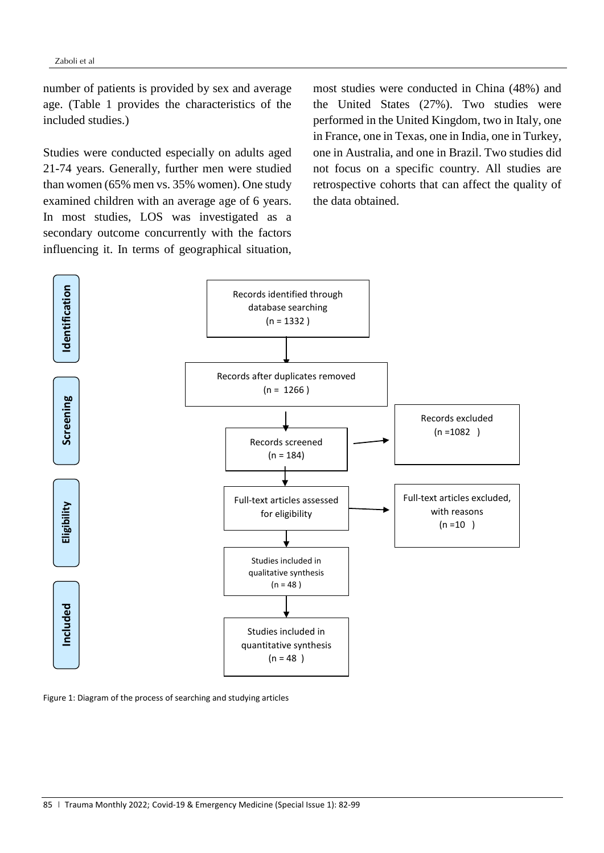number of patients is provided by sex and average age. (Table 1 provides the characteristics of the included studies.)

Studies were conducted especially on adults aged 21-74 years. Generally, further men were studied than women (65% men vs. 35% women). One study examined children with an average age of 6 years. In most studies, LOS was investigated as a secondary outcome concurrently with the factors influencing it. In terms of geographical situation, most studies were conducted in China (48%) and the United States (27%). Two studies were performed in the United Kingdom, two in Italy, one in France, one in Texas, one in India, one in Turkey, one in Australia, and one in Brazil. Two studies did not focus on a specific country. All studies are retrospective cohorts that can affect the quality of the data obtained.



Figure 1: Diagram of the process of searching and studying articles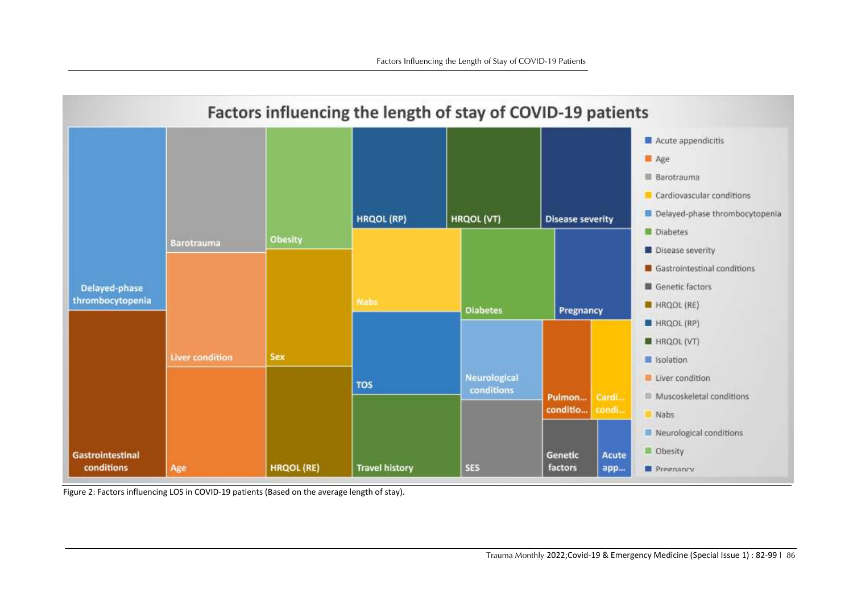

Figure 2: Factors influencing LOS in COVID-19 patients (Based on the average length of stay).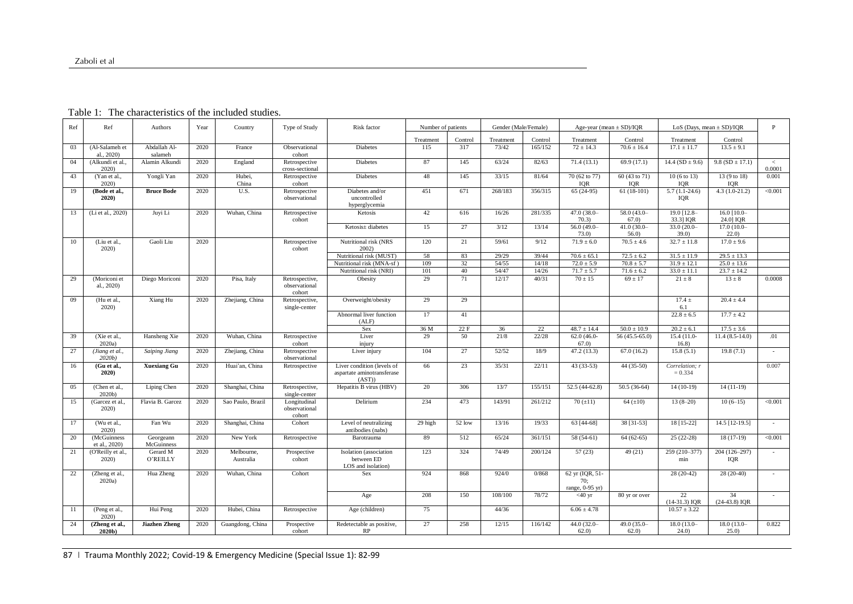|  |  |  | Table 1: The characteristics of the included studies. |  |
|--|--|--|-------------------------------------------------------|--|
|--|--|--|-------------------------------------------------------|--|

| Ref | Ref                          | Authors                 | Year | Country                 | Type of Study                             | Risk factor                                                        | Number of patients |         |           | Gender (Male/Female) |                                             | Age-year (mean $\pm$ SD)/IQR | LoS (Days, mean $\pm$ SD)/IQR        |                           | P               |
|-----|------------------------------|-------------------------|------|-------------------------|-------------------------------------------|--------------------------------------------------------------------|--------------------|---------|-----------|----------------------|---------------------------------------------|------------------------------|--------------------------------------|---------------------------|-----------------|
|     |                              |                         |      |                         |                                           |                                                                    | Treatment          | Control | Treatment | Control              | Treatment                                   | Control                      | Treatment                            | Control                   |                 |
| 03  | (Al-Salameh et<br>al., 2020) | Abdallah Al-<br>salameh | 2020 | France                  | Observational<br>cohort                   | <b>Diabetes</b>                                                    | 115                | 317     | 73/42     | 165/152              | $72 \pm 14.3$                               | $70.6 \pm 16.4$              | $17.1 \pm 11.7$                      | $13.5 \pm 9.1$            |                 |
| 04  | (Alkundi et al.,<br>2020)    | Alamin Alkundi          | 2020 | England                 | Retrospective<br>cross-sectional          | <b>Diabetes</b>                                                    | 87                 | 145     | 63/24     | 82/63                | 71.4(13.1)                                  | 69.9(17.1)                   | 14.4 ( $SD \pm 9.6$ )                | 9.8 ( $SD \pm 17.1$ )     | $\,<$<br>0.0001 |
| 43  | (Yan et al.<br>2020          | Yongli Yan              | 2020 | Hubei.<br>China         | Retrospective<br>cohort                   | <b>Diabetes</b>                                                    | 48                 | 145     | 33/15     | 81/64                | 70 (62 to 77)<br><b>IQR</b>                 | 60 (43 to 71)<br><b>IQR</b>  | $10(6 \text{ to } 13)$<br><b>IQR</b> | 13(9 to 18)<br><b>IOR</b> | 0.001           |
| 19  | (Bode et al.,<br>2020)       | <b>Bruce Bode</b>       | 2020 | U.S.                    | Retrospective<br>observational            | Diabetes and/or<br>uncontrolled<br>hyperglycemia                   | 451                | 671     | 268/183   | 356/315              | $65(24-95)$                                 | $61(18-101)$                 | $5.7(1.1-24.6)$<br><b>IQR</b>        | $4.3(1.0-21.2)$           | < 0.001         |
| 13  | (Li et al., 2020)            | Juvi Li                 | 2020 | Wuhan, China            | Retrospective<br>cohort                   | Ketosis                                                            | 42                 | 616     | 16/26     | 281/335              | 47.0 (38.0-<br>70.3)                        | $58.0(43.0 -$<br>67.0        | 19.0 [12.8-<br>33.3] IQR             | 16.0 [10.0-<br>24.0] IQR  |                 |
|     |                              |                         |      |                         |                                           | Ketosis± diabetes                                                  | 15                 | 27      | 3/12      | 13/14                | $56.0(49.0-$<br>73.0                        | $41.0(30.0 -$<br>56.0        | $33.0(20.0 -$<br>39.0                | $17.0(10.0 -$<br>22.0     |                 |
| 10  | (Liu et al.,<br>2020)        | Gaoli Liu               | 2020 |                         | Retrospective<br>cohort                   | Nutritional risk (NRS<br>2002)                                     | 120                | 21      | 59/61     | 9/12                 | $71.9 \pm 6.0$                              | $70.5 \pm 4.6$               | $32.7 \pm 11.8$                      | $17.0 \pm 9.6$            |                 |
|     |                              |                         |      |                         |                                           | Nutritional risk (MUST)                                            | 58                 | 83      | 29/29     | 39/44                | $70.6 \pm 65.1$                             | $72.5 \pm 6.2$               | $31.5 \pm 11.9$                      | $29.5 \pm 13.3$           |                 |
|     |                              |                         |      |                         |                                           | Nutritional risk (MNA-sf)                                          | 109                | 32      | 54/55     | 14/18                | $72.0 \pm 5.9$                              | $70.8 \pm 5.7$               | $31.9 \pm 12.1$                      | $25.0 \pm 13.6$           |                 |
|     |                              |                         |      |                         |                                           | Nutritional risk (NRI)                                             | 101                | 40      | 54/47     | 14/26                | $71.7 \pm 5.7$                              | $\overline{71.6} \pm 6.2$    | $33.0 \pm 11.1$                      | $23.7 \pm 14.2$           |                 |
| 29  | (Moriconi et<br>al., 2020)   | Diego Moriconi          | 2020 | Pisa, Italy             | Retrospective,<br>observational<br>cohort | Obesity                                                            | 29                 | 71      | 12/17     | 40/31                | $70 \pm 15$                                 | $69 \pm 17$                  | $21 \pm 8$                           | $13 \pm 8$                | 0.0008          |
| 09  | (Hu et al.,<br>2020          | Xiang Hu                | 2020 | Zhejiang, China         | Retrospective,<br>single-center           | Overweight/obesity                                                 | 29                 | 29      |           |                      |                                             |                              | $17.4 \pm$<br>6.1                    | $20.4 \pm 4.4$            |                 |
|     |                              |                         |      |                         |                                           | Abnormal liver function<br>(ALF)                                   | 17                 | 41      |           |                      |                                             |                              | $22.8 \pm 6.5$                       | $17.7 \pm 4.2$            |                 |
|     |                              |                         |      |                         |                                           | Sex                                                                | 36 M               | 22F     | 36        | 22                   | $48.7 \pm 14.4$                             | $50.0 \pm 10.9$              | $20.2 \pm 6.1$                       | $17.5 \pm 3.6$            |                 |
| 39  | (Xie et al.,<br>$2020a$ )    | Hansheng Xie            | 2020 | Wuhan, China            | Retrospective<br>cohort                   | Liver<br>injury                                                    | 29                 | 50      | 21/8      | 22/28                | $62.0(46.0-$<br>67.0                        | 56 (45.5-65.0)               | $15.4(11.0-$<br>16.8)                | $11.4(8.5-14.0)$          | .01             |
| 27  | (Jiang et al.,<br>$2020b$ )  | <b>Saiping Jiang</b>    | 2020 | Zhejiang, China         | Retrospective<br>observational            | Liver injury                                                       | 104                | 27      | 52/52     | 18/9                 | 47.2(13.3)                                  | 67.0(16.2)                   | 15.8(5.1)                            | 19.8(7.1)                 | $\sim$          |
| 16  | (Gu et al.,<br>2020)         | <b>Xuexiang Gu</b>      | 2020 | Huai'an, China          | Retrospective                             | Liver condition (levels of<br>aspartate aminotransferase<br>(AST)) | 66                 | 23      | 35/31     | 22/11                | $43(33-53)$                                 | 44 (35-50)                   | Correlation; r<br>$= 0.334$          |                           | 0.007           |
| 05  | (Chen et al.,<br>$2020b$ )   | Liping Chen             | 2020 | Shanghai, China         | Retrospective,<br>single-center           | Hepatitis B virus (HBV)                                            | 20                 | 306     | 13/7      | 155/151              | 52.5 (44-62.8)                              | $50.5(36-64)$                | $14(10-19)$                          | $14(11-19)$               |                 |
| 15  | (Garcez et al.,<br>2020)     | Flavia B. Garcez        | 2020 | Sao Paulo, Brazil       | Longitudinal<br>observational<br>cohort   | Delirium                                                           | 234                | 473     | 143/91    | 261/212              | 70(.11)                                     | 64 $(\pm 10)$                | $13(8-20)$                           | $10(6-15)$                | < 0.001         |
| 17  | (Wu et al.,<br>2020          | Fan Wu                  | 2020 | Shanghai, China         | Cohort                                    | Level of neutralizing<br>antibodies (nabs)                         | 29 high            | 52 low  | 13/16     | 19/33                | 63 [44-68]                                  | 38 [31-53]                   | 18 [15-22]                           | 14.5 [12-19.5]            | $\sim$          |
| 20  | (McGuinness<br>et al., 2020) | Georgeann<br>McGuinness | 2020 | New York                | Retrospective                             | Barotrauma                                                         | 89                 | 512     | 65/24     | 361/151              | 58 (54-61)                                  | $64(62-65)$                  | $25(22-28)$                          | 18 (17-19)                | < 0.001         |
| 21  | (O'Reilly et al.,<br>2020    | Gerard M<br>O'REILLY    | 2020 | Melbourne,<br>Australia | Prospective<br>cohort                     | Isolation (association<br>between ED<br>LOS and isolation)         | 123                | 324     | 74/49     | 200/124              | 57(23)                                      | 49(21)                       | 259 (210-377)<br>min                 | 204 (126-297)<br>IQR      | $\sim$          |
| 22  | (Zheng et al<br>2020a)       | Hua Zheng               | 2020 | Wuhan, China            | Cohort                                    | Sex                                                                | 924                | 868     | 924/0     | 0/868                | 62 yr (IQR, 51-<br>70;<br>range, $0-95$ yr) |                              | $28(20-42)$                          | $28(20-40)$               |                 |
|     |                              |                         |      |                         |                                           | Age                                                                | 208                | 150     | 108/100   | 78/72                | $<$ 40 yr                                   | 80 yr or over                | 22<br>$(14-31.3)$ IQR                | 34<br>$(24-43.8)$ IQR     |                 |
| 11  | (Peng et al.,<br>2020)       | Hui Peng                | 2020 | Hubei, China            | Retrospective                             | Age (children)                                                     | 75                 |         | 44/36     |                      | $6.06 \pm 4.78$                             |                              | $10.57 \pm 3.22$                     |                           |                 |
| 24  | (Zheng et al.,<br>2020b)     | <b>Jiazhen Zheng</b>    | 2020 | Guangdong, China        | Prospective<br>cohort                     | Redetectable as positive,<br>RP                                    | 27                 | 258     | 12/15     | 116/142              | 44.0 (32.0-<br>62.0                         | $49.0(35.0 -$<br>62.0        | $18.0(13.0 -$<br>24.0)               | 18.0 (13.0-<br>25.0       | 0.822           |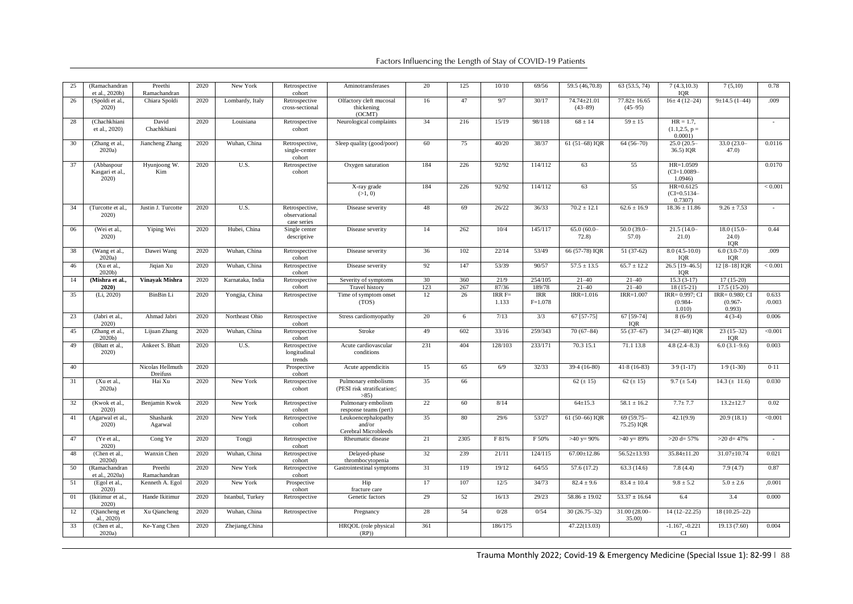| 25 | (Ramachandran<br>et al., 2020b)       | Preethi<br>Ramachandran      | 2020 | New York         | Retrospective<br>cohort                        | Aminotransferases                                            | 20        | 125       | 10/10            | 69/56         | 59.5 (46,70.8)             | 63 (53.5, 74)                    | 7(4.3, 10.3)<br><b>IOR</b>                 | 7(5,10)                            | 0.78    |
|----|---------------------------------------|------------------------------|------|------------------|------------------------------------------------|--------------------------------------------------------------|-----------|-----------|------------------|---------------|----------------------------|----------------------------------|--------------------------------------------|------------------------------------|---------|
| 26 | (Spoldi et al.,<br>2020)              | Chiara Spoldi                | 2020 | Lombardy, Italy  | Retrospective<br>cross-sectional               | Olfactory cleft mucosal<br>thickening<br>(OCMT)              | 16        | 47        | 9/7              | 30/17         | 74.74±21.01<br>$(43 - 89)$ | $77.82 \pm 16.65$<br>$(45 - 95)$ | $16±4(12-24)$                              | $9±14.5(1-44)$                     | .009    |
| 28 | (Chachkhiani<br>et al., 2020)         | David<br>Chachkhiani         | 2020 | Louisiana        | Retrospective<br>cohort                        | Neurological complaints                                      | 34        | 216       | 15/19            | 98/118        | $68 \pm 14$                | $59 \pm 15$                      | $HR = 1.7$ ,<br>$(1.1, 2.5, p =$<br>0.0001 |                                    | $\sim$  |
| 30 | (Zhang et al.,<br>2020a               | Jiancheng Zhang              | 2020 | Wuhan, China     | Retrospective,<br>single-center<br>cohort      | Sleep quality (good/poor)                                    | 60        | 75        | 40/20            | 38/37         | 61 (51-68) IQR             | $64(56-70)$                      | $25.0(20.5 -$<br>36.5) IQR                 | $33.0(23.0 -$<br>47.0              | 0.0116  |
| 37 | (Abbaspour<br>Kasgari et al.,<br>2020 | Hyunjoong W.<br>Kim          | 2020 | U.S.             | Retrospective<br>cohort                        | Oxygen saturation                                            | 184       | 226       | 92/92            | 114/112       | 63                         | 55                               | HR=1.0509<br>$(CI=1.0089-$<br>1.0946       |                                    | 0.0170  |
|    |                                       |                              |      |                  |                                                | X-ray grade<br>(>1, 0)                                       | 184       | 226       | 92/92            | 114/112       | 63                         | 55                               | HR=0.6125<br>$(CI=0.5134-$<br>0.7307       |                                    | < 0.001 |
| 34 | (Turcotte et al.<br>2020)             | Justin J. Turcotte           | 2020 | U.S.             | Retrospective,<br>observational<br>case series | Disease severity                                             | 48        | 69        | 26/22            | 36/33         | $70.2 \pm 12.1$            | $62.6 \pm 16.9$                  | $18.36 \pm 11.86$                          | $9.26 \pm 7.53$                    |         |
| 06 | (Wei et al.,<br>2020)                 | Yiping Wei                   | 2020 | Hubei, China     | Single center<br>descriptive                   | Disease severity                                             | 14        | 262       | 10/4             | 145/117       | 65.0 (60.0-<br>72.8)       | $50.0(39.0 -$<br>57.0            | $21.5(14.0 -$<br>21.0                      | 18.0 (15.0-<br>24.0)<br><b>IQR</b> | 0.44    |
| 38 | (Wang et al.,<br>2020a                | Dawei Wang                   | 2020 | Wuhan, China     | Retrospective<br>cohort                        | Disease severity                                             | 36        | 102       | 22/14            | 53/49         | 66 (57-78) IQR             | $51(37-62)$                      | $8.0(4.5-10.0)$<br>IQR                     | $6.0(3.0-7.0)$<br>IQR              | .009    |
| 46 | (Xu et al.,<br>2020 <sub>b</sub>      | Jiqian Xu                    | 2020 | Wuhan, China     | Retrospective<br>cohort                        | Disease severity                                             | 92        | 147       | 53/39            | 90/57         | $57.5 \pm 13.5$            | $65.7 \pm 12.2$                  | 26.5 [19-46.5]<br>IQR                      | 12 [8-18] IQR                      | < 0.001 |
| 14 | (Mishra et al.,                       | <b>Vinavak Mishra</b>        | 2020 | Karnataka, India | Retrospective                                  | Severity of symptoms                                         | 30        | 360       | 21/9             | 254/105       | $21 - 40$                  | $21 - 40$                        | $15.3(3-17)$                               | $17(15-20)$                        |         |
| 35 | 2020)<br>(Li, 2020)                   | BinBin Li                    | 2020 | Yongjia, China   | cohort<br>Retrospective                        | <b>Travel history</b><br>Time of symptom onset               | 123<br>12 | 267<br>26 | 87/36<br>$IRRF=$ | 189/78<br>IRR | $21 - 40$<br>$IRR=1.016$   | $21 - 40$<br>IRR=1.007           | $18(15-21)$<br>IRR= 0.997; CI              | $17.5(15-20)$<br>IRR= 0.980; CI    | 0.633   |
|    |                                       |                              |      |                  |                                                | (TOS)                                                        |           |           | 1.133            | $F=1.078$     |                            |                                  | $(0.984 -$<br>1.010                        | $(0.967 -$<br>0.993)               | /0.003  |
| 23 | (Jabri et al.,<br>2020)               | Ahmad Jabri                  | 2020 | Northeast Ohio   | Retrospective<br>cohort                        | Stress cardiomyopathy                                        | 20        | 6         | 7/13             | 3/3           | 67 [57-75]                 | 67 [59-74]<br><b>IOR</b>         | $8(6-9)$                                   | $4(3-4)$                           | 0.006   |
| 45 | (Zhang et al.,<br>2020 <sub>b</sub>   | Lijuan Zhang                 | 2020 | Wuhan, China     | Retrospective<br>cohort                        | Stroke                                                       | 49        | 602       | 33/16            | 259/343       | $70(67-84)$                | $55(37-67)$                      | 34 (27-48) IQR                             | $23(15-32)$<br>IQR                 | < 0.001 |
| 49 | (Bhatt et al.,<br>2020)               | Ankeet S. Bhatt              | 2020 | U.S.             | Retrospective<br>longitudinal<br>trends        | Acute cardiovascular<br>conditions                           | 231       | 404       | 128/103          | 233/171       | 70.3 15.1                  | 71.1 13.8                        | $4.8(2.4 - 8.3)$                           | $6.0(3.1-9.6)$                     | 0.003   |
| 40 |                                       | Nicolas Hellmuth<br>Dreifuss | 2020 |                  | Prospective<br>cohort                          | Acute appendicitis                                           | 15        | 65        | 6/9              | 32/33         | $39.4(16-80)$              | $41.8(16-83)$                    | $3.9(1-17)$                                | $1.9(1-30)$                        | 0.11    |
| 31 | (Xu et al.,<br>$2020a$ )              | Hai Xu                       | 2020 | New York         | Retrospective<br>cohort                        | Pulmonary embolisms<br>(PESI risk stratification<<br>$>85$ ) | 35        | 66        |                  |               | 62 ( $\pm$ 15)             | 62 ( $\pm$ 15)                   | $9.7 (\pm 5.4)$                            | $14.3 (\pm 11.6)$                  | 0.030   |
| 32 | (Kwok et al.,<br>2020)                | Benjamin Kwok                | 2020 | New York         | Retrospective<br>cohort                        | Pulmonary embolism<br>response teams (pert)                  | 22        | 60        | 8/14             |               | $64 \pm 15.3$              | $58.1 \pm 16.2$                  | $7.7 + 7.7$                                | $13.2 \pm 12.7$                    | 0.02    |
| 41 | (Agarwal et al.,<br>2020)             | Shashank<br>Agarwal          | 2020 | New York         | Retrospective<br>cohort                        | Leukoencephalopathy<br>and/or<br>Cerebral Microbleeds        | 35        | 80        | 29/6             | 53/27         | 61 (50-66) IQR             | 69 (59.75-<br>75.25) IQR         | 42.1(9.9)                                  | 20.9(18.1)                         | < 0.001 |
| 47 | (Ye et al.,<br>2020)                  | Cong Ye                      | 2020 | Tongji           | Retrospective<br>cohort                        | Rheumatic disease                                            | 21        | 2305      | F 81%            | F 50%         | $>40$ y= 90%               | $>40$ y= 89%                     | $>20 d=57%$                                | $>20 d=47%$                        | $\sim$  |
| 48 | (Chen et al.,<br>2020d)               | Wanxin Chen                  | 2020 | Wuhan, China     | Retrospective<br>cohort                        | Delayed-phase<br>thrombocytopenia                            | 32        | 239       | 21/11            | 124/115       | $67.00 \pm 12.86$          | $56.52 \pm 13.93$                | 35.84±11.20                                | $31.07 \pm 10.74$                  | 0.021   |
| 50 | (Ramachandran<br>et al., 2020a)       | Preethi<br>Ramachandran      | 2020 | New York         | Retrospective<br>cohort                        | Gastrointestinal symptoms                                    | 31        | 119       | 19/12            | 64/55         | 57.6(17.2)                 | 63.3(14.6)                       | 7.8(4.4)                                   | 7.9(4.7)                           | 0.87    |
| 51 | (Egol et al.,<br>2020)                | Kenneth A. Egol              | 2020 | New York         | Prospective<br>cohort                          | Hip<br>fracture care                                         | 17        | 107       | 12/5             | 34/73         | $82.4 \pm 9.6$             | $83.4 \pm 10.4$                  | $9.8 \pm 5.2$                              | $5.0 \pm 2.6$                      | ,0.001  |
| 01 | (Ikitimur et al.,<br>2020)            | Hande Ikitimur               | 2020 | Istanbul, Turkey | Retrospective                                  | Genetic factors                                              | 29        | 52        | 16/13            | 29/23         | $58.86 \pm 19.02$          | $53.37 \pm 16.64$                | 6.4                                        | 3.4                                | 0.000   |
| 12 | (Qiancheng et<br>al., 2020)           | Xu Qiancheng                 | 2020 | Wuhan, China     | Retrospective                                  | Pregnancy                                                    | 28        | 54        | 0/28             | 0/54          | $30(26.75-32)$             | 31.00 (28.00-<br>35.00)          | $14(12 - 22.25)$                           | $18(10.25-22)$                     |         |
| 33 | (Chen et al.,<br>2020a                | Ke-Yang Chen                 | 2020 | Zhejiang, China  |                                                | HRQOL (role physical<br>(RP)                                 | 361       |           | 186/175          |               | 47.22(13.03)               |                                  | $-1.167, -0.221$<br>CI                     | 19.13 (7.60)                       | 0.004   |

Trauma Monthly 2022; Covid-19 & Emergency Medicine (Special Issue 1): 82-99 | 88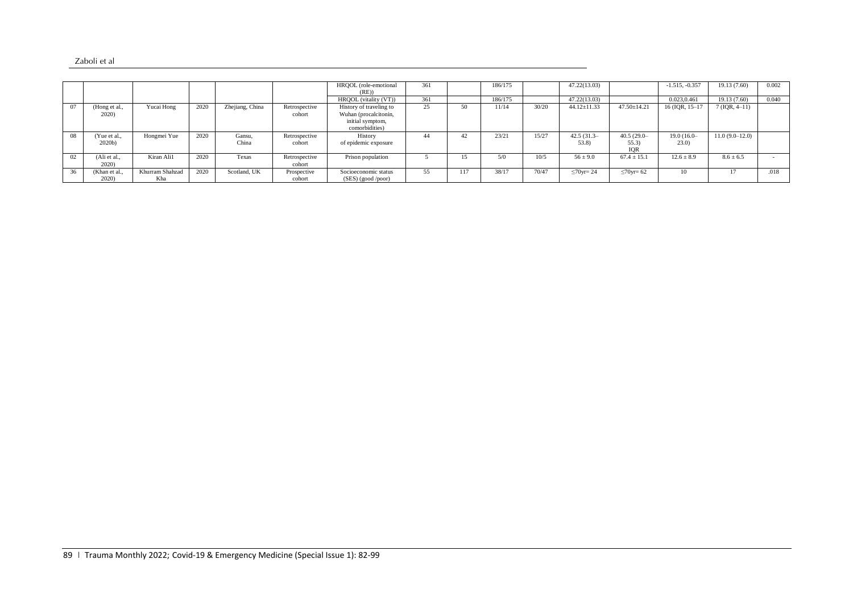| 'aboli et al |  |
|--------------|--|
|--------------|--|

|    |                        |                        |      |                 |                         | HRQOL (role-emotional<br>(RE)                                                          | 361 |     | 186/175 |       | 47.22(13.03)      |                   | $-1.515, -0.357$ | 19.13 (7.60)     | 0.002 |
|----|------------------------|------------------------|------|-----------------|-------------------------|----------------------------------------------------------------------------------------|-----|-----|---------|-------|-------------------|-------------------|------------------|------------------|-------|
|    |                        |                        |      |                 |                         | HROOL (vitality (VT))                                                                  | 361 |     | 186/175 |       | 47.22(13.03)      |                   | 0.023,0.461      | 19.13 (7.60)     | 0.040 |
| 07 | (Hong et al.,<br>2020) | Yucai Hong             | 2020 | Zhejiang, China | Retrospective<br>cohort | History of traveling to<br>Wuhan (procalcitonin,<br>initial symptom,<br>comorbidities) | 25  |     | 11/14   | 30/20 | $44.12 \pm 11.33$ | $47.50 \pm 14.21$ | 16 (IQR, 15-17   | $7(IQR, 4-11)$   |       |
| 08 | (Yue et al             | Hongmei Yue            | 2020 | Gansu.          | Retrospective           | History                                                                                | 44  |     | 23/21   | 15/27 | $42.5(31.3 -$     | $40.5(29.0 -$     | $19.0(16.0-$     | $11.0(9.0-12.0)$ |       |
|    | $2020b$ )              |                        |      | China           | cohort                  | of epidemic exposure                                                                   |     |     |         |       | 53.8              | 55.3<br>IOR       | (23.0)           |                  |       |
| 02 | (Ali et al.,<br>2020)  | Kiran Ali1             | 2020 | Texas           | Retrospective<br>cohort | Prison population                                                                      |     | 15  | 5/0     | 10/5  | $56 \pm 9.0$      | $67.4 \pm 15.1$   | $12.6 \pm 8.9$   | $8.6 \pm 6.5$    |       |
| 36 | (Khan et al.<br>2020)  | Khurram Shahzad<br>Kha | 2020 | Scotland, UK    | Prospective<br>cohort   | Socioeconomic status<br>(SES) (good /poor)                                             | 55  | 117 | 38/17   | 70/47 | $\leq 70$ yr= 24  | $\leq 70$ yr= 62  | 10               |                  | .018  |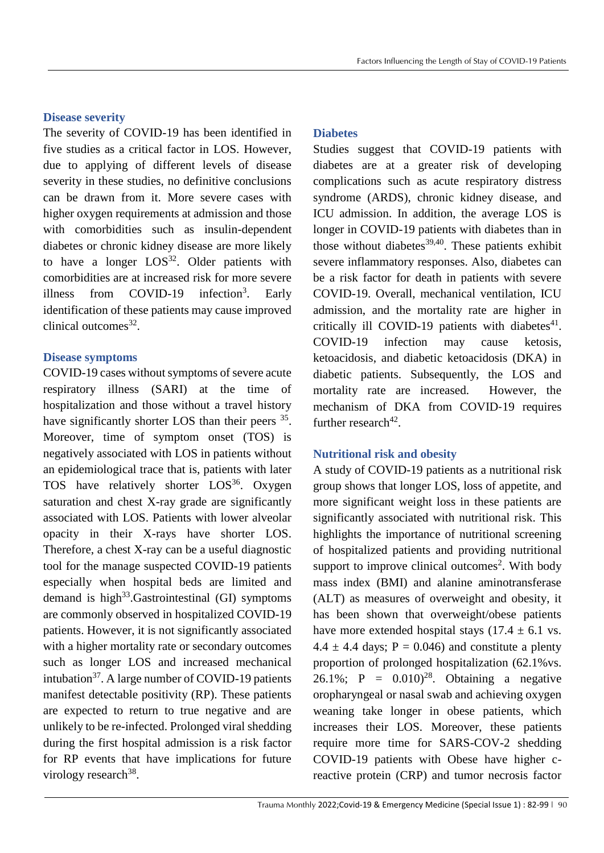## **Disease severity**

The severity of COVID-19 has been identified in five studies as a critical factor in LOS. However, due to applying of different levels of disease severity in these studies, no definitive conclusions can be drawn from it. More severe cases with higher oxygen requirements at admission and those with comorbidities such as insulin-dependent diabetes or chronic kidney disease are more likely to have a longer  $LOS^{32}$ . Older patients with comorbidities are at increased risk for more severe illness from COVID-19 infection<sup>3</sup>. . Early identification of these patients may cause improved clinical outcomes<sup>32</sup>.

## **Disease symptoms**

COVID-19 cases without symptoms of severe acute respiratory illness (SARI) at the time of hospitalization and those without a travel history have significantly shorter LOS than their peers <sup>35</sup>. Moreover, time of symptom onset (TOS) is negatively associated with LOS in patients without an epidemiological trace that is, patients with later TOS have relatively shorter  $LOS^{36}$ . Oxygen saturation and chest X-ray grade are significantly associated with LOS. Patients with lower alveolar opacity in their X-rays have shorter LOS. Therefore, a chest X-ray can be a useful diagnostic tool for the manage suspected COVID-19 patients especially when hospital beds are limited and demand is high $33.$  Gastrointestinal (GI) symptoms are commonly observed in hospitalized COVID-19 patients. However, it is not significantly associated with a higher mortality rate or secondary outcomes such as longer LOS and increased mechanical intubation $37$ . A large number of COVID-19 patients manifest detectable positivity (RP). These patients are expected to return to true negative and are unlikely to be re-infected. Prolonged viral shedding during the first hospital admission is a risk factor for RP events that have implications for future virology research<sup>38</sup>.

## **Diabetes**

Studies suggest that COVID-19 patients with diabetes are at a greater risk of developing complications such as acute respiratory distress syndrome (ARDS), chronic kidney disease, and ICU admission. In addition, the average LOS is longer in COVID-19 patients with diabetes than in those without diabetes $39,40$ . These patients exhibit severe inflammatory responses. Also, diabetes can be a risk factor for death in patients with severe COVID-19. Overall, mechanical ventilation, ICU admission, and the mortality rate are higher in critically ill COVID-19 patients with diabetes $41$ . COVID-19 infection may cause ketosis, ketoacidosis, and diabetic ketoacidosis (DKA) in diabetic patients. Subsequently, the LOS and mortality rate are increased. However, the mechanism of DKA from COVID‐19 requires further research $42$ .

# **Nutritional risk and obesity**

A study of COVID-19 patients as a nutritional risk group shows that longer LOS, loss of appetite, and more significant weight loss in these patients are significantly associated with nutritional risk. This highlights the importance of nutritional screening of hospitalized patients and providing nutritional support to improve clinical outcomes<sup>2</sup>. With body mass index (BMI) and alanine aminotransferase (ALT) as measures of overweight and obesity, it has been shown that overweight/obese patients have more extended hospital stays  $(17.4 \pm 6.1 \text{ vs.})$  $4.4 \pm 4.4$  days; P = 0.046) and constitute a plenty proportion of prolonged hospitalization (62.1%vs. 26.1%; P =  $0.010$ <sup>28</sup>. Obtaining a negative oropharyngeal or nasal swab and achieving oxygen weaning take longer in obese patients, which increases their LOS. Moreover, these patients require more time for SARS-COV-2 shedding COVID-19 patients with Obese have higher creactive protein (CRP) and tumor necrosis factor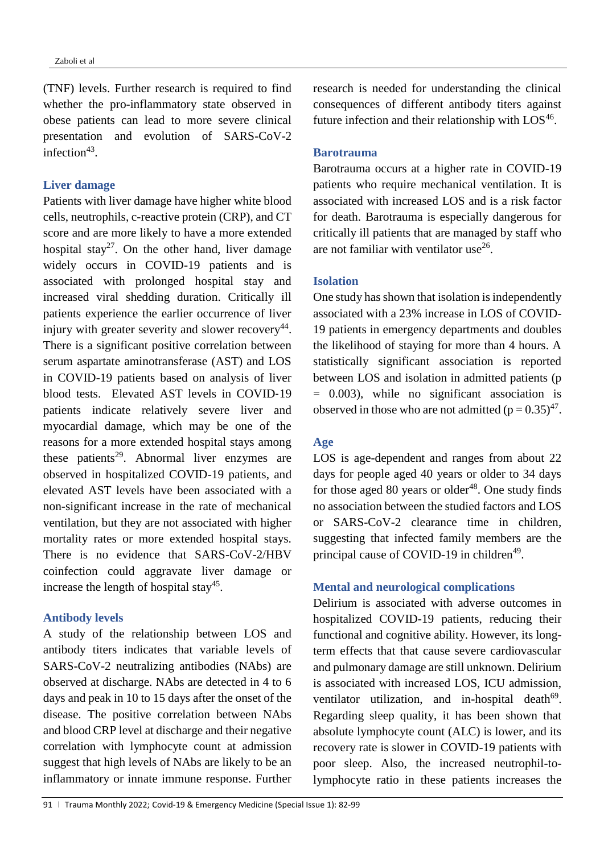(TNF) levels. Further research is required to find whether the pro-inflammatory state observed in obese patients can lead to more severe clinical presentation and evolution of SARS-CoV-2 infection $43$ .

#### **Liver damage**

Patients with liver damage have higher white blood cells, neutrophils, c-reactive protein (CRP), and CT score and are more likely to have a more extended hospital stay<sup>27</sup>. On the other hand, liver damage widely occurs in COVID-19 patients and is associated with prolonged hospital stay and increased viral shedding duration. Critically ill patients experience the earlier occurrence of liver injury with greater severity and slower recovery<sup>44</sup>. There is a significant positive correlation between serum aspartate aminotransferase (AST) and LOS in COVID-19 patients based on analysis of liver blood tests. Elevated AST levels in COVID‐19 patients indicate relatively severe liver and myocardial damage, which may be one of the reasons for a more extended hospital stays among these patients<sup>29</sup>. Abnormal liver enzymes are observed in hospitalized COVID-19 patients, and elevated AST levels have been associated with a non-significant increase in the rate of mechanical ventilation, but they are not associated with higher mortality rates or more extended hospital stays. There is no evidence that SARS-CoV-2/HBV coinfection could aggravate liver damage or increase the length of hospital stay<sup>45</sup>.

#### **Antibody levels**

A study of the relationship between LOS and antibody titers indicates that variable levels of SARS-CoV-2 neutralizing antibodies (NAbs) are observed at discharge. NAbs are detected in 4 to 6 days and peak in 10 to 15 days after the onset of the disease. The positive correlation between NAbs and blood CRP level at discharge and their negative correlation with lymphocyte count at admission suggest that high levels of NAbs are likely to be an inflammatory or innate immune response. Further

research is needed for understanding the clinical consequences of different antibody titers against future infection and their relationship with  $LOS^{46}$ .

## **Barotrauma**

Barotrauma occurs at a higher rate in COVID-19 patients who require mechanical ventilation. It is associated with increased LOS and is a risk factor for death. Barotrauma is especially dangerous for critically ill patients that are managed by staff who are not familiar with ventilator use<sup>26</sup>.

#### **Isolation**

One study has shown that isolation is independently associated with a 23% increase in LOS of COVID-19 patients in emergency departments and doubles the likelihood of staying for more than 4 hours. A statistically significant association is reported between LOS and isolation in admitted patients (p = 0.003), while no significant association is observed in those who are not admitted  $(p = 0.35)^{47}$ .

## **Age**

LOS is age-dependent and ranges from about 22 days for people aged 40 years or older to 34 days for those aged 80 years or older $48$ . One study finds no association between the studied factors and LOS or SARS-CoV-2 clearance time in children, suggesting that infected family members are the principal cause of COVID-19 in children<sup>49</sup>.

## **Mental and neurological complications**

Delirium is associated with adverse outcomes in hospitalized COVID-19 patients, reducing their functional and cognitive ability. However, its longterm effects that that cause severe cardiovascular and pulmonary damage are still unknown. Delirium is associated with increased LOS, ICU admission, ventilator utilization, and in-hospital death<sup>69</sup>. Regarding sleep quality, it has been shown that absolute lymphocyte count (ALC) is lower, and its recovery rate is slower in COVID-19 patients with poor sleep. Also, the increased neutrophil-tolymphocyte ratio in these patients increases the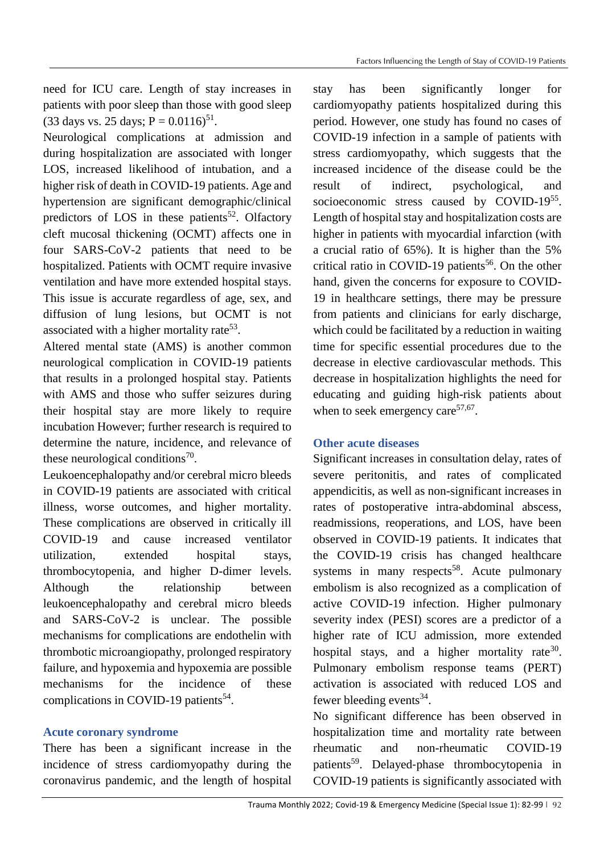need for ICU care. Length of stay increases in patients with poor sleep than those with good sleep  $(33 \text{ days vs. } 25 \text{ days}; P = 0.0116)^{51}$ .

Neurological complications at admission and during hospitalization are associated with longer LOS, increased likelihood of intubation, and a higher risk of death in COVID-19 patients. Age and hypertension are significant demographic/clinical predictors of LOS in these patients<sup>52</sup>. Olfactory cleft mucosal thickening (OCMT) affects one in four SARS-CoV-2 patients that need to be hospitalized. Patients with OCMT require invasive ventilation and have more extended hospital stays. This issue is accurate regardless of age, sex, and diffusion of lung lesions, but OCMT is not associated with a higher mortality rate<sup>53</sup>.

Altered mental state (AMS) is another common neurological complication in COVID-19 patients that results in a prolonged hospital stay. Patients with AMS and those who suffer seizures during their hospital stay are more likely to require incubation However; further research is required to determine the nature, incidence, and relevance of these neurological conditions<sup>70</sup>.

Leukoencephalopathy and/or cerebral micro bleeds in COVID-19 patients are associated with critical illness, worse outcomes, and higher mortality. These complications are observed in critically ill COVID-19 and cause increased ventilator utilization, extended hospital stays, thrombocytopenia, and higher D-dimer levels. Although the relationship between leukoencephalopathy and cerebral micro bleeds and SARS-CoV-2 is unclear. The possible mechanisms for complications are endothelin with thrombotic microangiopathy, prolonged respiratory failure, and hypoxemia and hypoxemia are possible mechanisms for the incidence of these complications in COVID-19 patients<sup>54</sup>.

## **Acute coronary syndrome**

There has been a significant increase in the incidence of stress cardiomyopathy during the coronavirus pandemic, and the length of hospital stay has been significantly longer for cardiomyopathy patients hospitalized during this period. However, one study has found no cases of COVID-19 infection in a sample of patients with stress cardiomyopathy, which suggests that the increased incidence of the disease could be the result of indirect, psychological, and socioeconomic stress caused by COVID-1955. Length of hospital stay and hospitalization costs are higher in patients with myocardial infarction (with a crucial ratio of 65%). It is higher than the 5% critical ratio in COVID-19 patients<sup>56</sup>. On the other hand, given the concerns for exposure to COVID-19 in healthcare settings, there may be pressure from patients and clinicians for early discharge, which could be facilitated by a reduction in waiting time for specific essential procedures due to the decrease in elective cardiovascular methods. This decrease in hospitalization highlights the need for educating and guiding high-risk patients about when to seek emergency care  $57,67$ .

## **Other acute diseases**

Significant increases in consultation delay, rates of severe peritonitis, and rates of complicated appendicitis, as well as non-significant increases in rates of postoperative intra-abdominal abscess, readmissions, reoperations, and LOS, have been observed in COVID-19 patients. It indicates that the COVID-19 crisis has changed healthcare systems in many respects<sup>58</sup>. Acute pulmonary embolism is also recognized as a complication of active COVID-19 infection. Higher pulmonary severity index (PESI) scores are a predictor of a higher rate of ICU admission, more extended hospital stays, and a higher mortality rate<sup>30</sup>. Pulmonary embolism response teams (PERT) activation is associated with reduced LOS and fewer bleeding events<sup>34</sup>.

No significant difference has been observed in hospitalization time and mortality rate between rheumatic and non-rheumatic COVID-19 patients<sup>59</sup>. Delayed-phase thrombocytopenia in COVID-19 patients is significantly associated with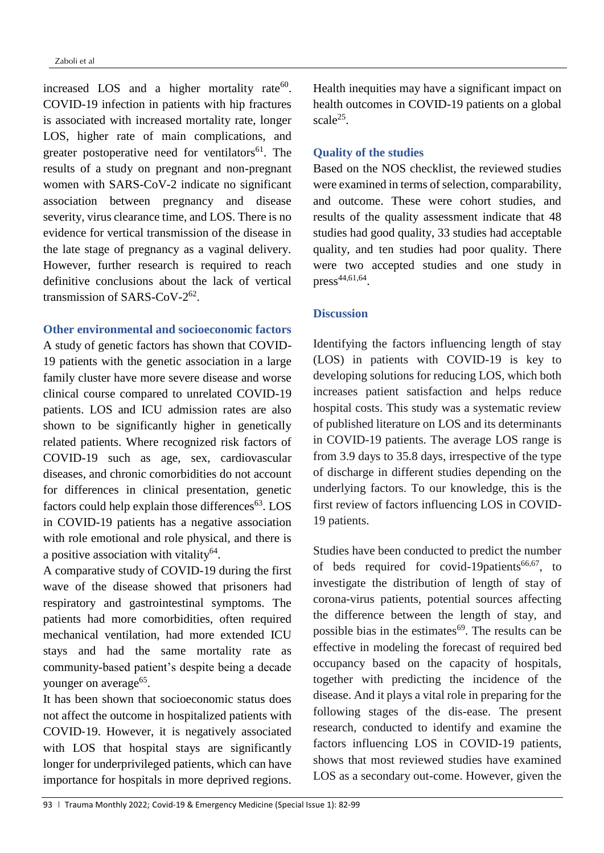increased LOS and a higher mortality rate $60$ . COVID-19 infection in patients with hip fractures is associated with increased mortality rate, longer LOS, higher rate of main complications, and greater postoperative need for ventilators<sup>61</sup>. The results of a study on pregnant and non-pregnant women with SARS-CoV-2 indicate no significant association between pregnancy and disease severity, virus clearance time, and LOS. There is no evidence for vertical transmission of the disease in the late stage of pregnancy as a vaginal delivery. However, further research is required to reach definitive conclusions about the lack of vertical transmission of SARS-CoV-2<sup>62</sup>.

## **Other environmental and socioeconomic factors**

A study of genetic factors has shown that COVID-19 patients with the genetic association in a large family cluster have more severe disease and worse clinical course compared to unrelated COVID-19 patients. LOS and ICU admission rates are also shown to be significantly higher in genetically related patients. Where recognized risk factors of COVID-19 such as age, sex, cardiovascular diseases, and chronic comorbidities do not account for differences in clinical presentation, genetic factors could help explain those differences $63$ . LOS in COVID-19 patients has a negative association with role emotional and role physical, and there is a positive association with vitality<sup>64</sup>.

A comparative study of COVID-19 during the first wave of the disease showed that prisoners had respiratory and gastrointestinal symptoms. The patients had more comorbidities, often required mechanical ventilation, had more extended ICU stays and had the same mortality rate as community-based patient's despite being a decade younger on average<sup>65</sup>.

It has been shown that socioeconomic status does not affect the outcome in hospitalized patients with COVID‐19. However, it is negatively associated with LOS that hospital stays are significantly longer for underprivileged patients, which can have importance for hospitals in more deprived regions.

Health inequities may have a significant impact on health outcomes in COVID-19 patients on a global scale $^{25}$ .

## **Quality of the studies**

Based on the NOS checklist, the reviewed studies were examined in terms of selection, comparability, and outcome. These were cohort studies, and results of the quality assessment indicate that 48 studies had good quality, 33 studies had acceptable quality, and ten studies had poor quality. There were two accepted studies and one study in  $press<sup>44,61,64</sup>$ .

## **Discussion**

Identifying the factors influencing length of stay (LOS) in patients with COVID-19 is key to developing solutions for reducing LOS, which both increases patient satisfaction and helps reduce hospital costs. This study was a systematic review of published literature on LOS and its determinants in COVID-19 patients. The average LOS range is from 3.9 days to 35.8 days, irrespective of the type of discharge in different studies depending on the underlying factors. To our knowledge, this is the first review of factors influencing LOS in COVID-19 patients.

Studies have been conducted to predict the number of beds required for covid-19patients<sup>66,67</sup>, to investigate the distribution of length of stay of corona-virus patients, potential sources affecting the difference between the length of stay, and possible bias in the estimates $^{69}$ . The results can be effective in modeling the forecast of required bed occupancy based on the capacity of hospitals, together with predicting the incidence of the disease. And it plays a vital role in preparing for the following stages of the dis-ease. The present research, conducted to identify and examine the factors influencing LOS in COVID-19 patients, shows that most reviewed studies have examined LOS as a secondary out-come. However, given the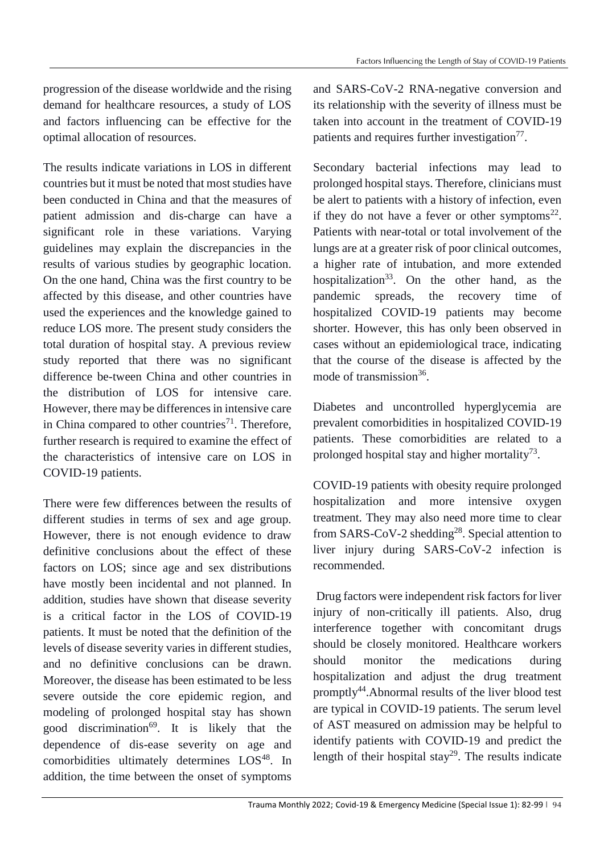progression of the disease worldwide and the rising demand for healthcare resources, a study of LOS and factors influencing can be effective for the optimal allocation of resources.

The results indicate variations in LOS in different countries but it must be noted that most studies have been conducted in China and that the measures of patient admission and dis-charge can have a significant role in these variations. Varying guidelines may explain the discrepancies in the results of various studies by geographic location. On the one hand, China was the first country to be affected by this disease, and other countries have used the experiences and the knowledge gained to reduce LOS more. The present study considers the total duration of hospital stay. A previous review study reported that there was no significant difference be-tween China and other countries in the distribution of LOS for intensive care. However, there may be differences in intensive care in China compared to other countries<sup>71</sup>. Therefore, further research is required to examine the effect of the characteristics of intensive care on LOS in COVID-19 patients.

There were few differences between the results of different studies in terms of sex and age group. However, there is not enough evidence to draw definitive conclusions about the effect of these factors on LOS; since age and sex distributions have mostly been incidental and not planned. In addition, studies have shown that disease severity is a critical factor in the LOS of COVID-19 patients. It must be noted that the definition of the levels of disease severity varies in different studies, and no definitive conclusions can be drawn. Moreover, the disease has been estimated to be less severe outside the core epidemic region, and modeling of prolonged hospital stay has shown good discrimination<sup>69</sup>. It is likely that the dependence of dis-ease severity on age and comorbidities ultimately determines LOS<sup>48</sup>. In addition, the time between the onset of symptoms

and SARS-CoV-2 RNA-negative conversion and its relationship with the severity of illness must be taken into account in the treatment of COVID-19 patients and requires further investigation<sup>77</sup>.

Secondary bacterial infections may lead to prolonged hospital stays. Therefore, clinicians must be alert to patients with a history of infection, even if they do not have a fever or other symptoms $^{22}$ . Patients with near-total or total involvement of the lungs are at a greater risk of poor clinical outcomes, a higher rate of intubation, and more extended hospitalization<sup>33</sup>. On the other hand, as the pandemic spreads, the recovery time of hospitalized COVID-19 patients may become shorter. However, this has only been observed in cases without an epidemiological trace, indicating that the course of the disease is affected by the mode of transmission<sup>36</sup>.

Diabetes and uncontrolled hyperglycemia are prevalent comorbidities in hospitalized COVID-19 patients. These comorbidities are related to a prolonged hospital stay and higher mortality<sup>73</sup>.

COVID-19 patients with obesity require prolonged hospitalization and more intensive oxygen treatment. They may also need more time to clear from SARS-CoV-2 shedding<sup>28</sup>. Special attention to liver injury during SARS-CoV-2 infection is recommended.

Drug factors were independent risk factors for liver injury of non-critically ill patients. Also, drug interference together with concomitant drugs should be closely monitored. Healthcare workers should monitor the medications during hospitalization and adjust the drug treatment promptly<sup>44</sup>.Abnormal results of the liver blood test are typical in COVID-19 patients. The serum level of AST measured on admission may be helpful to identify patients with COVID-19 and predict the length of their hospital stay<sup>29</sup>. The results indicate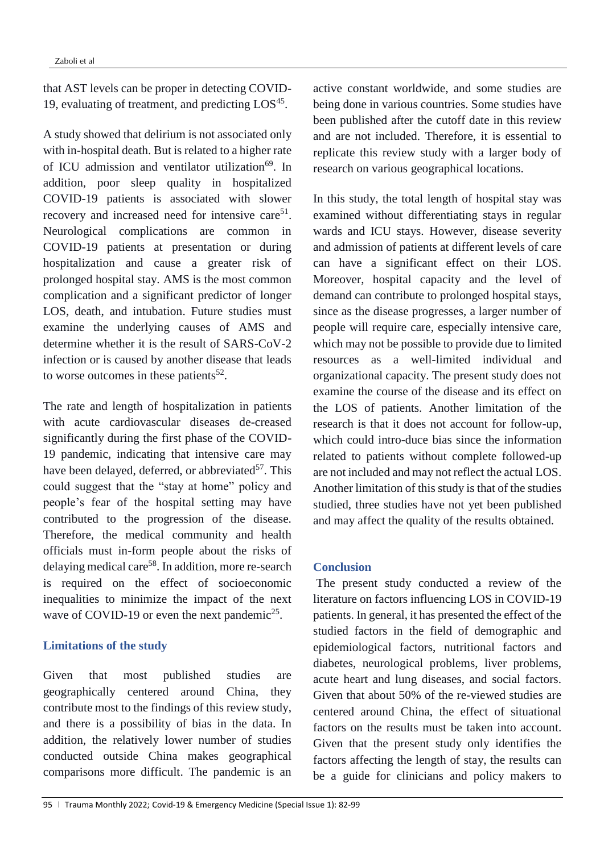that AST levels can be proper in detecting COVID-19, evaluating of treatment, and predicting LOS<sup>45</sup>.

A study showed that delirium is not associated only with in-hospital death. But is related to a higher rate of ICU admission and ventilator utilization<sup>69</sup>. In addition, poor sleep quality in hospitalized COVID-19 patients is associated with slower recovery and increased need for intensive care $51$ . Neurological complications are common in COVID-19 patients at presentation or during hospitalization and cause a greater risk of prolonged hospital stay. AMS is the most common complication and a significant predictor of longer LOS, death, and intubation. Future studies must examine the underlying causes of AMS and determine whether it is the result of SARS-CoV-2 infection or is caused by another disease that leads to worse outcomes in these patients<sup>52</sup>.

The rate and length of hospitalization in patients with acute cardiovascular diseases de-creased significantly during the first phase of the COVID-19 pandemic, indicating that intensive care may have been delayed, deferred, or abbreviated $57$ . This could suggest that the "stay at home" policy and people's fear of the hospital setting may have contributed to the progression of the disease. Therefore, the medical community and health officials must in-form people about the risks of delaying medical care<sup>58</sup>. In addition, more re-search is required on the effect of socioeconomic inequalities to minimize the impact of the next wave of COVID-19 or even the next pandemic<sup>25</sup>.

#### **Limitations of the study**

Given that most published studies are geographically centered around China, they contribute most to the findings of this review study, and there is a possibility of bias in the data. In addition, the relatively lower number of studies conducted outside China makes geographical comparisons more difficult. The pandemic is an active constant worldwide, and some studies are being done in various countries. Some studies have been published after the cutoff date in this review and are not included. Therefore, it is essential to replicate this review study with a larger body of research on various geographical locations.

In this study, the total length of hospital stay was examined without differentiating stays in regular wards and ICU stays. However, disease severity and admission of patients at different levels of care can have a significant effect on their LOS. Moreover, hospital capacity and the level of demand can contribute to prolonged hospital stays, since as the disease progresses, a larger number of people will require care, especially intensive care, which may not be possible to provide due to limited resources as a well-limited individual and organizational capacity. The present study does not examine the course of the disease and its effect on the LOS of patients. Another limitation of the research is that it does not account for follow-up, which could intro-duce bias since the information related to patients without complete followed-up are not included and may not reflect the actual LOS. Another limitation of this study is that of the studies studied, three studies have not yet been published and may affect the quality of the results obtained.

#### **Conclusion**

The present study conducted a review of the literature on factors influencing LOS in COVID-19 patients. In general, it has presented the effect of the studied factors in the field of demographic and epidemiological factors, nutritional factors and diabetes, neurological problems, liver problems, acute heart and lung diseases, and social factors. Given that about 50% of the re-viewed studies are centered around China, the effect of situational factors on the results must be taken into account. Given that the present study only identifies the factors affecting the length of stay, the results can be a guide for clinicians and policy makers to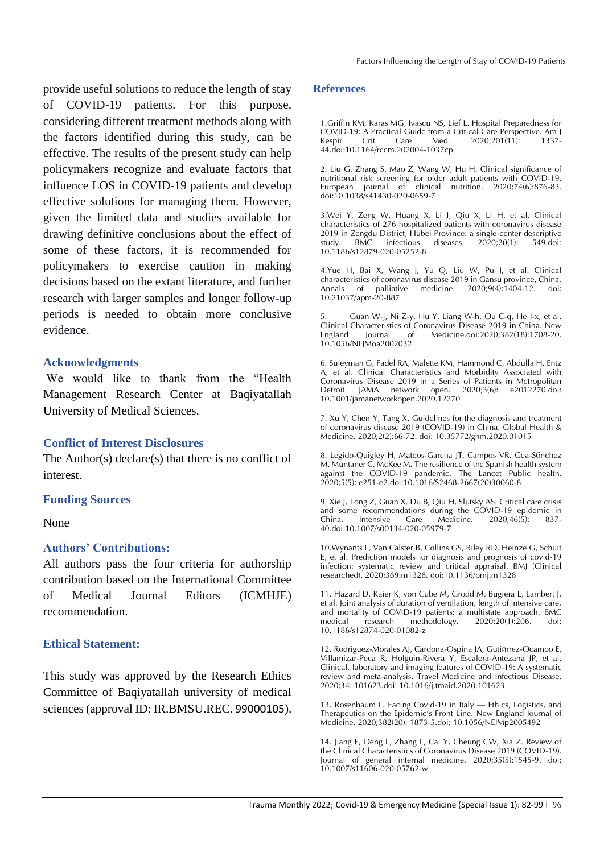provide useful solutions to reduce the length of stay of COVID-19 patients. For this purpose, considering different treatment methods along with the factors identified during this study, can be effective. The results of the present study can help policymakers recognize and evaluate factors that influence LOS in COVID-19 patients and develop effective solutions for managing them. However, given the limited data and studies available for drawing definitive conclusions about the effect of some of these factors, it is recommended for policymakers to exercise caution in making decisions based on the extant literature, and further research with larger samples and longer follow-up periods is needed to obtain more conclusive evidence.

#### **Acknowledgments**

We would like to thank from the "Health Management Research Center at Baqiyatallah University of Medical Sciences.

#### **Conflict of Interest Disclosures**

The Author(s) declare(s) that there is no conflict of interest.

#### **Funding Sources**

#### None

## **Authors' Contributions:**

All authors pass the four criteria for authorship contribution based on the International Committee of Medical Journal Editors (ICMHJE) recommendation.

## **Ethical Statement:**

This study was approved by the Research Ethics Committee of Baqiyatallah university of medical sciences (approval ID: IR.BMSU.REC. [99000105](https://research2.bmsu.ac.ir/general/cartable.action)).

#### **References**

1.Griffin KM, Karas MG, Ivascu NS, Lief L. Hospital Preparedness for COVID-19: A Practical Guide from a Critical Care Perspective. Am J  $2020;201(11):$ 44.doi:10.1164/rccm.202004-1037cp

2. Liu G, Zhang S, Mao Z, Wang W, Hu H. Clinical significance of nutritional risk screening for older adult patients with COVID-19. European journal of clinical nutrition. 2020;74(6):876-83. doi:10.1038/s41430-020-0659-7

3.Wei Y, Zeng W, Huang X, Li J, Qiu X, Li H, et al. Clinical characteristics of 276 hospitalized patients with coronavirus disease 2019 in Zengdu District, Hubei Province: a single-center descriptive<br>study. BMC infectious diseases. 2020;20(1): 549.doi: study. BMC infectious diseases. 10.1186/s12879-020-05252-8

4.Yue H, Bai X, Wang J, Yu Q, Liu W, Pu J, et al. Clinical characteristics of coronavirus disease 2019 in Gansu province, China. Annals of palliative medicine. 2020;9(4):1404-12. doi: 10.21037/apm-20-887

5. Guan W-j, Ni Z-y, Hu Y, Liang W-h, Ou C-q, He J-x, et al. Clinical Characteristics of Coronavirus Disease 2019 in China. New England Journal of Medicine.doi:2020;382(18):1708-20. 10.1056/NEJMoa2002032

6. Suleyman G, Fadel RA, Malette KM, Hammond C, Abdulla H, Entz A, et al. Clinical Characteristics and Morbidity Associated with Coronavirus Disease 2019 in a Series of Patients in Metropolitan Detroit. JAMA network open. 2020;3(6): e2012270.doi: 10.1001/jamanetworkopen.2020.12270

7. Xu Y, Chen Y, Tang X. Guidelines for the diagnosis and treatment of coronavirus disease 2019 (COVID-19) in China. Global Health & Medicine. 2020;2(2):66-72. doi: 10.35772/ghm.2020.01015

8. Legido-Quigley H, Mateos-Garcна JT, Campos VR, Gea-S6nchez M, Muntaner C, McKee M. The resilience of the Spanish health system against the COVID-19 pandemic. The Lancet Public health. 2020;5(5): e251-e2.doi:10.1016/S2468-2667(20)30060-8

9. Xie J, Tong Z, Guan X, Du B, Qiu H, Slutsky AS. Critical care crisis and some recommendations during the COVID-19 epidemic in<br>China. Intensive Care Medicine. 2020;46(5): 837-China. Intensive Care Medicine.  $2020;46(5)$ : 40.doi:10.1007/s00134-020-05979-7

10.Wynants L, Van Calster B, Collins GS, Riley RD, Heinze G, Schuit E, et al. Prediction models for diagnosis and prognosis of covid-19 infection: systematic review and critical appraisal. BMJ (Clinical researched). 2020;369:m1328. doi:10.1136/bmj.m1328

11. Hazard D, Kaier K, von Cube M, Grodd M, Bugiera L, Lambert J, et al. Joint analysis of duration of ventilation, length of intensive care, and mortality of COVID-19 patients: a multistate approach. BMC<br>medical research methodology. 2020;20(1):206. doi: research methodology. 2020;20(1):206. doi: 10.1186/s12874-020-01082-z

12. Rodriguez-Morales AJ, Cardona-Ospina JA, Gutiñrrez-Ocampo E, Villamizar-Peca R, Holguin-Rivera Y, Escalera-Antezana JP, et al. Clinical, laboratory and imaging features of COVID-19: A systematic review and meta-analysis. Travel Medicine and Infectious Disease. 2020;34: 101623.doi: 10.1016/j.tmaid.2020.101623

13. Rosenbaum L. Facing Covid-19 in Italy — Ethics, Logistics, and Therapeutics on the Epidemic's Front Line. New England Journal of Medicine. 2020;382(20): 1873-5.doi: 10.1056/NEJMp2005492

14. Jiang F, Deng L, Zhang L, Cai Y, Cheung CW, Xia Z. Review of the Clinical Characteristics of Coronavirus Disease 2019 (COVID-19). Journal of general internal medicine. 2020;35(5):1545-9. doi: 10.1007/s11606-020-05762-w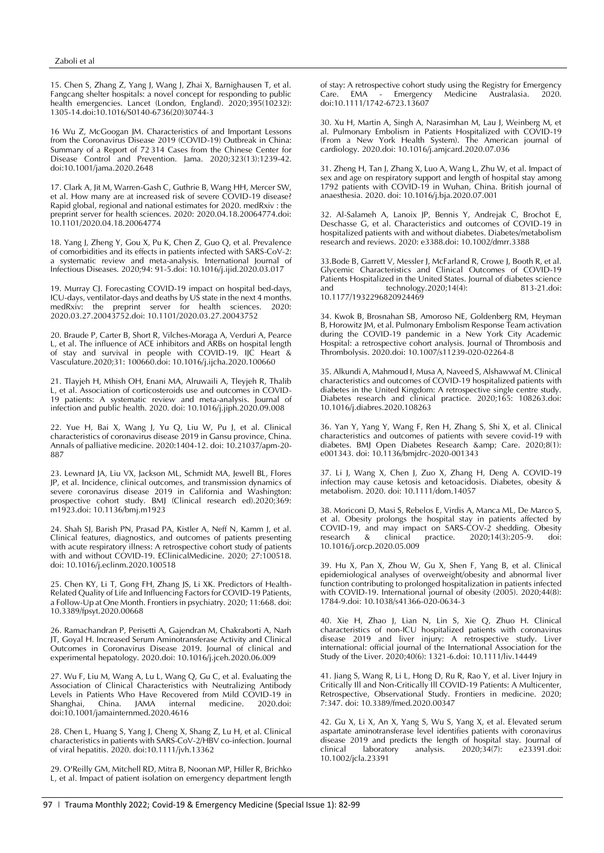15. Chen S, Zhang Z, Yang J, Wang J, Zhai X, Barnighausen T, et al. Fangcang shelter hospitals: a novel concept for responding to public health emergencies. Lancet (London, England). 2020;395(10232): 1305-14.doi:10.1016/S0140-6736(20)30744-3

16 Wu Z, McGoogan JM. Characteristics of and Important Lessons from the Coronavirus Disease 2019 (COVID-19) Outbreak in China: Summary of a Report of 72 314 Cases from the Chinese Center for Disease Control and Prevention. Jama. 2020;323(13):1239-42. doi:10.1001/jama.2020.2648

17. Clark A, Jit M, Warren-Gash C, Guthrie B, Wang HH, Mercer SW, et al. How many are at increased risk of severe COVID-19 disease? Rapid global, regional and national estimates for 2020. medRxiv : the preprint server for health sciences. 2020: 2020.04.18.20064774.doi: 10.1101/2020.04.18.20064774

18. Yang J, Zheng Y, Gou X, Pu K, Chen Z, Guo Q, et al. Prevalence of comorbidities and its effects in patients infected with SARS-CoV-2: a systematic review and meta-analysis. International Journal of Infectious Diseases. 2020;94: 91-5.doi: 10.1016/j.ijid.2020.03.017

19. Murray CJ. Forecasting COVID-19 impact on hospital bed-days, ICU-days, ventilator-days and deaths by US state in the next 4 months. medRxiv: the preprint server for health sciences. 2020.03.27.20043752.doi: 10.1101/2020.03.27.20043752

20. Braude P, Carter B, Short R, Vilches-Moraga A, Verduri A, Pearce L, et al. The influence of ACE inhibitors and ARBs on hospital length of stay and survival in people with COVID-19. IJC Heart & Vasculature.2020;31: 100660.doi: 10.1016/j.ijcha.2020.100660

21. Tlayjeh H, Mhish OH, Enani MA, Alruwaili A, Tleyjeh R, Thalib L, et al. Association of corticosteroids use and outcomes in COVID-19 patients: A systematic review and meta-analysis. Journal of infection and public health. 2020. doi: 10.1016/j.jiph.2020.09.008

22. Yue H, Bai X, Wang J, Yu Q, Liu W, Pu J, et al. Clinical characteristics of coronavirus disease 2019 in Gansu province, China. Annals of palliative medicine. 2020:1404-12. doi: 10.21037/apm-20- 887

23. Lewnard JA, Liu VX, Jackson ML, Schmidt MA, Jewell BL, Flores JP, et al. Incidence, clinical outcomes, and transmission dynamics of severe coronavirus disease 2019 in California and Washington: prospective cohort study. BMJ (Clinical research ed).2020;369: m1923.doi: 10.1136/bmj.m1923

24. Shah SJ, Barish PN, Prasad PA, Kistler A, Neff N, Kamm J, et al. Clinical features, diagnostics, and outcomes of patients presenting with acute respiratory illness: A retrospective cohort study of patients with and without COVID-19. EClinicalMedicine. 2020; 27:100518. doi: 10.1016/j.eclinm.2020.100518

25. Chen KY, Li T, Gong FH, Zhang JS, Li XK. Predictors of Health-Related Quality of Life and Influencing Factors for COVID-19 Patients, a Follow-Up at One Month. Frontiers in psychiatry. 2020; 11:668. doi: 10.3389/fpsyt.2020.00668

26. Ramachandran P, Perisetti A, Gajendran M, Chakraborti A, Narh JT, Goyal H. Increased Serum Aminotransferase Activity and Clinical Outcomes in Coronavirus Disease 2019. Journal of clinical and experimental hepatology. 2020.doi: 10.1016/j.jceh.2020.06.009

27. Wu F, Liu M, Wang A, Lu L, Wang Q, Gu C, et al. Evaluating the Association of Clinical Characteristics with Neutralizing Antibody Levels in Patients Who Have Recovered from Mild COVID-19 in Shanghai, China. JAMA internal medicine. 2020.doi: doi:10.1001/jamainternmed.2020.4616

28. Chen L, Huang S, Yang J, Cheng X, Shang Z, Lu H, et al. Clinical characteristics in patients with SARS-CoV-2/HBV co-infection. Journal of viral hepatitis. 2020. doi:10.1111/jvh.13362

29. O'Reilly GM, Mitchell RD, Mitra B, Noonan MP, Hiller R, Brichko L, et al. Impact of patient isolation on emergency department length of stay: A retrospective cohort study using the Registry for Emergency<br>Care. FMA - Fmergency Medicine Australasia. 2020.  $Care.$  EMA - Emergency doi:10.1111/1742-6723.13607

30. Xu H, Martin A, Singh A, Narasimhan M, Lau J, Weinberg M, et al. Pulmonary Embolism in Patients Hospitalized with COVID-19 (From a New York Health System). The American journal of cardiology. 2020.doi: 10.1016/j.amjcard.2020.07.036

31. Zheng H, Tan J, Zhang X, Luo A, Wang L, Zhu W, et al. Impact of sex and age on respiratory support and length of hospital stay among 1792 patients with COVID-19 in Wuhan, China. British journal of anaesthesia. 2020. doi: 10.1016/j.bja.2020.07.001

32. Al-Salameh A, Lanoix JP, Bennis Y, Andrejak C, Brochot E, Deschasse G, et al. Characteristics and outcomes of COVID-19 in hospitalized patients with and without diabetes. Diabetes/metabolism research and reviews. 2020: e3388.doi: 10.1002/dmrr.3388

33.Bode B, Garrett V, Messler J, McFarland R, Crowe J, Booth R, et al. Glycemic Characteristics and Clinical Outcomes of COVID-19 Patients Hospitalized in the United States. Journal of diabetes science<br>and technology.2020:14(4): 813-21.doi: technology.2020;14(4): 813-21.doi: 10.1177/1932296820924469

34. Kwok B, Brosnahan SB, Amoroso NE, Goldenberg RM, Heyman B, Horowitz JM, et al. Pulmonary Embolism Response Team activation during the COVID-19 pandemic in a New York City Academic Hospital: a retrospective cohort analysis. Journal of Thrombosis and Thrombolysis. 2020.doi: 10.1007/s11239-020-02264-8

35. Alkundi A, Mahmoud I, Musa A, Naveed S, Alshawwaf M. Clinical characteristics and outcomes of COVID-19 hospitalized patients with diabetes in the United Kingdom: A retrospective single centre study. Diabetes research and clinical practice. 2020;165: 108263.doi: 10.1016/j.diabres.2020.108263

36. Yan Y, Yang Y, Wang F, Ren H, Zhang S, Shi X, et al. Clinical characteristics and outcomes of patients with severe covid-19 with diabetes. BMJ Open Diabetes Research & amp; Care. 2020;8(1): e001343. doi: 10.1136/bmjdrc-2020-001343

37. Li J, Wang X, Chen J, Zuo X, Zhang H, Deng A. COVID-19 infection may cause ketosis and ketoacidosis. Diabetes, obesity & metabolism. 2020. doi: 10.1111/dom.14057

38. Moriconi D, Masi S, Rebelos E, Virdis A, Manca ML, De Marco S, et al. Obesity prolongs the hospital stay in patients affected by COVID-19, and may impact on SARS-COV-2 shedding. Obesity research  $&$  clinical practice.  $2020;14(3):205-9$ . 10.1016/j.orcp.2020.05.009

39. Hu X, Pan X, Zhou W, Gu X, Shen F, Yang B, et al. Clinical epidemiological analyses of overweight/obesity and abnormal liver function contributing to prolonged hospitalization in patients infected with COVID-19. International journal of obesity (2005). 2020;44(8): 1784-9.doi: 10.1038/s41366-020-0634-3

40. Xie H, Zhao J, Lian N, Lin S, Xie Q, Zhuo H. Clinical characteristics of non-ICU hospitalized patients with coronavirus disease 2019 and liver injury: A retrospective study. Liver international: official journal of the International Association for the Study of the Liver. 2020;40(6): 1321-6.doi: 10.1111/liv.14449

41. Jiang S, Wang R, Li L, Hong D, Ru R, Rao Y, et al. Liver Injury in Critically Ill and Non-Critically Ill COVID-19 Patients: A Multicenter, Retrospective, Observational Study. Frontiers in medicine. 2020: 7:347. doi: 10.3389/fmed.2020.00347

42. Gu X, Li X, An X, Yang S, Wu S, Yang X, et al. Elevated serum aspartate aminotransferase level identifies patients with coronavirus disease 2019 and predicts the length of hospital stay. Journal of clinical laboratory analysis. 2020;34(7): e23391.doi: 10.1002/jcla.23391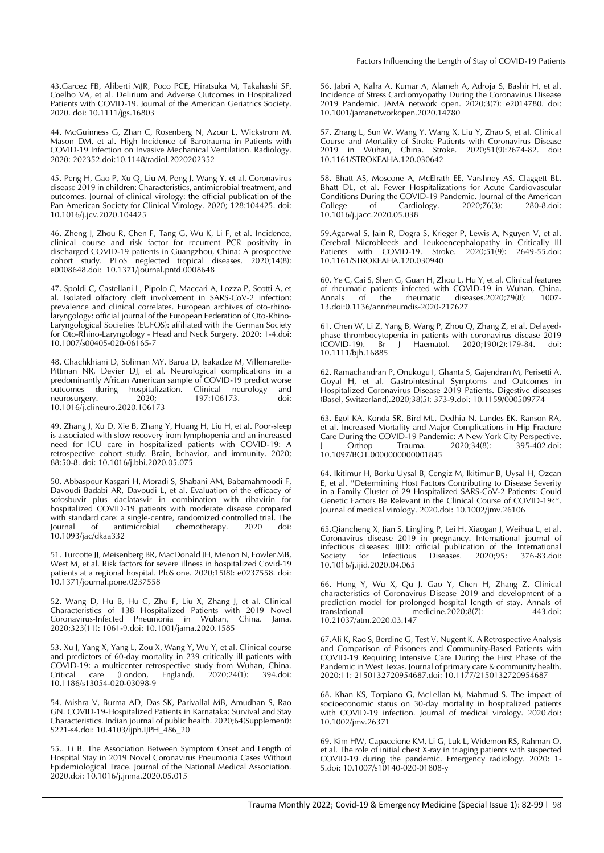43.Garcez FB, Aliberti MJR, Poco PCE, Hiratsuka M, Takahashi SF, Coelho VA, et al. Delirium and Adverse Outcomes in Hospitalized Patients with COVID-19. Journal of the American Geriatrics Society. 2020. doi: 10.1111/jgs.16803

44. McGuinness G, Zhan C, Rosenberg N, Azour L, Wickstrom M, Mason DM, et al. High Incidence of Barotrauma in Patients with COVID-19 Infection on Invasive Mechanical Ventilation. Radiology. 2020: 202352.doi:10.1148/radiol.2020202352

45. Peng H, Gao P, Xu Q, Liu M, Peng J, Wang Y, et al. Coronavirus disease 2019 in children: Characteristics, antimicrobial treatment, and outcomes. Journal of clinical virology: the official publication of the Pan American Society for Clinical Virology. 2020; 128:104425. doi: 10.1016/j.jcv.2020.104425

46. Zheng J, Zhou R, Chen F, Tang G, Wu K, Li F, et al. Incidence, clinical course and risk factor for recurrent PCR positivity in discharged COVID-19 patients in Guangzhou, China: A prospective cohort study. PLoS neglected tropical diseases. 2020;14(8): e0008648.doi: 10.1371/journal.pntd.0008648

47. Spoldi C, Castellani L, Pipolo C, Maccari A, Lozza P, Scotti A, et al. Isolated olfactory cleft involvement in SARS-CoV-2 infection: prevalence and clinical correlates. European archives of oto-rhinolaryngology: official journal of the European Federation of Oto-Rhino-Laryngological Societies (EUFOS): affiliated with the German Society for Oto-Rhino-Laryngology - Head and Neck Surgery. 2020: 1-4.doi: 10.1007/s00405-020-06165-7

48. Chachkhiani D, Soliman MY, Barua D, Isakadze M, Villemarette-Pittman NR, Devier DJ, et al. Neurological complications in a predominantly African American sample of COVID-19 predict worse outcomes during hospitalization. Clinical neurology and<br>
neurosurgery. 2020; 197:106173. doi: neurosurgery. 10.1016/j.clineuro.2020.106173

49. Zhang J, Xu D, Xie B, Zhang Y, Huang H, Liu H, et al. Poor-sleep is associated with slow recovery from lymphopenia and an increased need for ICU care in hospitalized patients with COVID-19: A retrospective cohort study. Brain, behavior, and immunity. 2020; 88:50-8. doi: 10.1016/j.bbi.2020.05.075

50. Abbaspour Kasgari H, Moradi S, Shabani AM, Babamahmoodi F, Davoudi Badabi AR, Davoudi L, et al. Evaluation of the efficacy of sofosbuvir plus daclatasvir in combination with ribavirin for hospitalized COVID-19 patients with moderate disease compared with standard care: a single-centre, randomized controlled trial. The<br>Journal of antimicrobial chemotherapy. 2020 doi:  $\overline{\text{of}}$  antimicrobial 10.1093/jac/dkaa332

51. Turcotte II, Meisenberg BR, MacDonald IH, Menon N, Fowler MB, West M, et al. Risk factors for severe illness in hospitalized Covid-19 patients at a regional hospital. PloS one. 2020;15(8): e0237558. doi: 10.1371/journal.pone.0237558

52. Wang D, Hu B, Hu C, Zhu F, Liu X, Zhang J, et al. Clinical Characteristics of 138 Hospitalized Patients with 2019 Novel Coronavirus-Infected Pneumonia in Wuhan, China. Jama. 2020;323(11): 1061-9.doi: 10.1001/jama.2020.1585

53. Xu J, Yang X, Yang L, Zou X, Wang Y, Wu Y, et al. Clinical course and predictors of 60-day mortality in 239 critically ill patients with COVID-19: a multicenter retrospective study from Wuhan, China.<br>Critical care (London, England). 2020;24(1): 394.doi: Critical care (London, England). 2020;24(1): 394.doi: 10.1186/s13054-020-03098-9

54. Mishra V, Burma AD, Das SK, Parivallal MB, Amudhan S, Rao GN. COVID-19-Hospitalized Patients in Karnataka: Survival and Stay Characteristics. Indian journal of public health. 2020;64(Supplement): S221-s4.doi: 10.4103/ijph.IJPH\_486\_20

55.. Li B. The Association Between Symptom Onset and Length of Hospital Stay in 2019 Novel Coronavirus Pneumonia Cases Without Epidemiological Trace. Journal of the National Medical Association. 2020.doi: 10.1016/j.jnma.2020.05.015

56. Jabri A, Kalra A, Kumar A, Alameh A, Adroja S, Bashir H, et al. Incidence of Stress Cardiomyopathy During the Coronavirus Disease 2019 Pandemic. JAMA network open. 2020;3(7): e2014780. doi: 10.1001/jamanetworkopen.2020.14780

57. Zhang L, Sun W, Wang Y, Wang X, Liu Y, Zhao S, et al. Clinical Course and Mortality of Stroke Patients with Coronavirus Disease 2019 in Wuhan, China. Stroke. 2020;51(9):2674-82. doi: 10.1161/STROKEAHA.120.030642

58. Bhatt AS, Moscone A, McElrath EE, Varshney AS, Claggett BL, Bhatt DL, et al. Fewer Hospitalizations for Acute Cardiovascular Conditions During the COVID-19 Pandemic. Journal of the American Cardiology. 10.1016/j.jacc.2020.05.038

59.Agarwal S, Jain R, Dogra S, Krieger P, Lewis A, Nguyen V, et al. Cerebral Microbleeds and Leukoencephalopathy in Critically Ill Patients with COVID-19. Stroke. 2020;51(9): 2649-55.doi: 10.1161/STROKEAHA.120.030940

60. Ye C, Cai S, Shen G, Guan H, Zhou L, Hu Y, et al. Clinical features of rheumatic patients infected with COVID-19 in Wuhan, China.<br>Annals of the rheumatic diseases.2020;79(8): 1007-Annals of the rheumatic 13.doi:0.1136/annrheumdis-2020-217627

61. Chen W, Li Z, Yang B, Wang P, Zhou Q, Zhang Z, et al. Delayedphase thrombocytopenia in patients with coronavirus disease  $2019$ (COVID-19). Br J Haematol. 2020;190(2):179-84. doi: 10.1111/bjh.16885

62. Ramachandran P, Onukogu I, Ghanta S, Gajendran M, Perisetti A, Goyal H, et al. Gastrointestinal Symptoms and Outcomes in Hospitalized Coronavirus Disease 2019 Patients. Digestive diseases (Basel, Switzerland).2020;38(5): 373-9.doi: 10.1159/000509774

63. Egol KA, Konda SR, Bird ML, Dedhia N, Landes EK, Ranson RA, et al. Increased Mortality and Major Complications in Hip Fracture Care During the COVID-19 Pandemic: A New York City Perspective. Orthop Trauma. 2020;34(8): 395-402.doi: 10.1097/BOT.0000000000001845

64. Ikitimur H, Borku Uysal B, Cengiz M, Ikitimur B, Uysal H, Ozcan E, et al. ''Determining Host Factors Contributing to Disease Severity in a Family Cluster of 29 Hospitalized SARS-CoV-2 Patients: Could Genetic Factors Be Relevant in the Clinical Course of COVID-19?''. Journal of medical virology. 2020.doi: 10.1002/jmv.26106

65.Qiancheng X, Jian S, Lingling P, Lei H, Xiaogan J, Weihua L, et al. Coronavirus disease 2019 in pregnancy. International journal of infectious diseases: IJID: official publication of the International Society for Infectious Diseases. 2020;95: 376-83.doi: 10.1016/j.ijid.2020.04.065

66. Hong Y, Wu X, Qu J, Gao Y, Chen H, Zhang Z. Clinical characteristics of Coronavirus Disease 2019 and development of a prediction model for prolonged hospital length of stay. Annals of<br>translational medicine.2020;8(7): 443.doi: medicine.2020;8(7): 443.doi: 10.21037/atm.2020.03.147

67.Ali K, Rao S, Berdine G, Test V, Nugent K. A Retrospective Analysis and Comparison of Prisoners and Community-Based Patients with COVID-19 Requiring Intensive Care During the First Phase of the Pandemic in West Texas. Journal of primary care & community health. 2020;11: 2150132720954687.doi: 10.1177/2150132720954687

68. Khan KS, Torpiano G, McLellan M, Mahmud S. The impact of socioeconomic status on 30-day mortality in hospitalized patients with COVID-19 infection. Journal of medical virology. 2020.doi: 10.1002/jmv.26371

69. Kim HW, Capaccione KM, Li G, Luk L, Widemon RS, Rahman O, et al. The role of initial chest X-ray in triaging patients with suspected COVID-19 during the pandemic. Emergency radiology. 2020: 1- 5.doi: 10.1007/s10140-020-01808-y